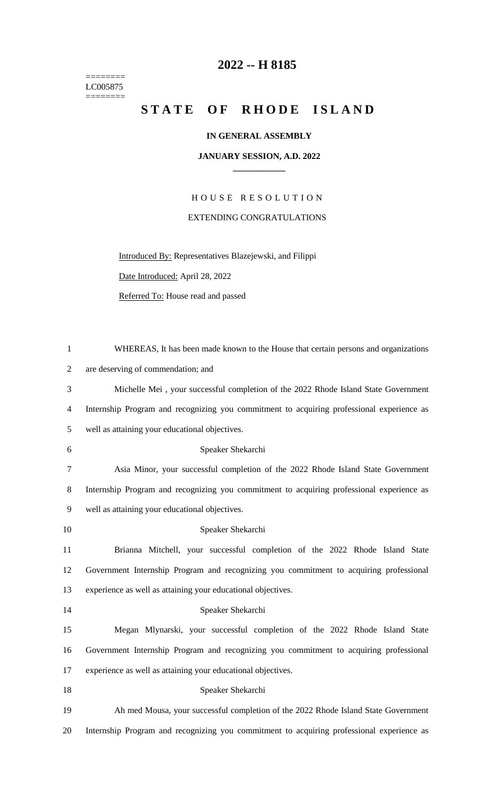======== LC005875  $=$ 

## **-- H 8185**

## STATE OF RHODE ISLAND

## **IN GENERAL ASSEMBLY**

## **JANUARY SESSION, A.D. 2022 \_\_\_\_\_\_\_\_\_\_\_\_**

H O U S E R E S O L U T I O N EXTENDING CONGRATULATIONS

Introduced By: Representatives Blazejewski, and Filippi

Date Introduced: April 28, 2022

Referred To: House read and passed

| $\mathbf{1}$   | WHEREAS, It has been made known to the House that certain persons and organizations       |
|----------------|-------------------------------------------------------------------------------------------|
| $\overline{2}$ | are deserving of commendation; and                                                        |
| 3              | Michelle Mei, your successful completion of the 2022 Rhode Island State Government        |
| 4              | Internship Program and recognizing you commitment to acquiring professional experience as |
| 5              | well as attaining your educational objectives.                                            |
| 6              | Speaker Shekarchi                                                                         |
| 7              | Asia Minor, your successful completion of the 2022 Rhode Island State Government          |
| 8              | Internship Program and recognizing you commitment to acquiring professional experience as |
| 9              | well as attaining your educational objectives.                                            |
| 10             | Speaker Shekarchi                                                                         |
| 11             | Brianna Mitchell, your successful completion of the 2022 Rhode Island State               |
| 12             | Government Internship Program and recognizing you commitment to acquiring professional    |
| 13             | experience as well as attaining your educational objectives.                              |
| 14             | Speaker Shekarchi                                                                         |
| 15             | Megan Mlynarski, your successful completion of the 2022 Rhode Island State                |
| 16             | Government Internship Program and recognizing you commitment to acquiring professional    |
| 17             | experience as well as attaining your educational objectives.                              |
| 18             | Speaker Shekarchi                                                                         |
| 19             | Ah med Mousa, your successful completion of the 2022 Rhode Island State Government        |
| 20             | Internship Program and recognizing you commitment to acquiring professional experience as |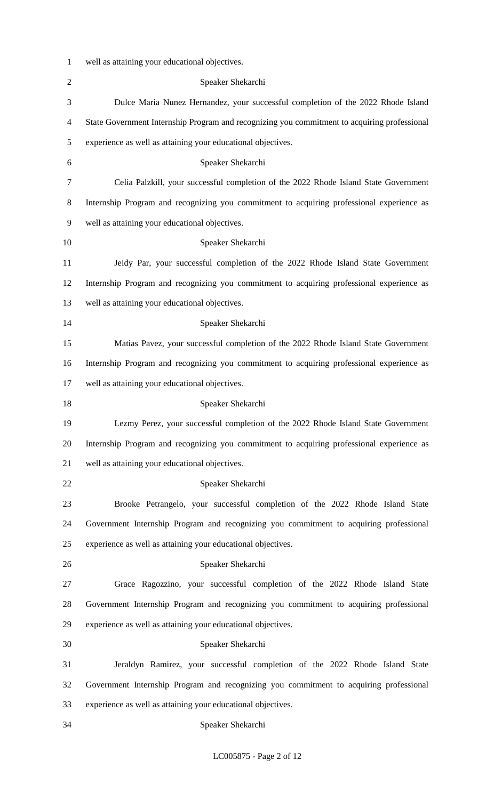| $\mathbf{1}$   | well as attaining your educational objectives.                                               |
|----------------|----------------------------------------------------------------------------------------------|
| $\overline{2}$ | Speaker Shekarchi                                                                            |
| 3              | Dulce Maria Nunez Hernandez, your successful completion of the 2022 Rhode Island             |
| 4              | State Government Internship Program and recognizing you commitment to acquiring professional |
| 5              | experience as well as attaining your educational objectives.                                 |
| 6              | Speaker Shekarchi                                                                            |
| 7              | Celia Palzkill, your successful completion of the 2022 Rhode Island State Government         |
| 8              | Internship Program and recognizing you commitment to acquiring professional experience as    |
| 9              | well as attaining your educational objectives.                                               |
| 10             | Speaker Shekarchi                                                                            |
| 11             | Jeidy Par, your successful completion of the 2022 Rhode Island State Government              |
| 12             | Internship Program and recognizing you commitment to acquiring professional experience as    |
| 13             | well as attaining your educational objectives.                                               |
| 14             | Speaker Shekarchi                                                                            |
| 15             | Matias Pavez, your successful completion of the 2022 Rhode Island State Government           |
| 16             | Internship Program and recognizing you commitment to acquiring professional experience as    |
| 17             | well as attaining your educational objectives.                                               |
| 18             | Speaker Shekarchi                                                                            |
| 19             | Lezmy Perez, your successful completion of the 2022 Rhode Island State Government            |
| 20             | Internship Program and recognizing you commitment to acquiring professional experience as    |
| 21             | well as attaining your educational objectives.                                               |
| 22             | Speaker Shekarchi                                                                            |
| 23             | Brooke Petrangelo, your successful completion of the 2022 Rhode Island State                 |
| 24             | Government Internship Program and recognizing you commitment to acquiring professional       |
| 25             | experience as well as attaining your educational objectives.                                 |
| 26             | Speaker Shekarchi                                                                            |
| 27             | Grace Ragozzino, your successful completion of the 2022 Rhode Island State                   |
| 28             | Government Internship Program and recognizing you commitment to acquiring professional       |
| 29             | experience as well as attaining your educational objectives.                                 |
| 30             | Speaker Shekarchi                                                                            |
| 31             | Jeraldyn Ramirez, your successful completion of the 2022 Rhode Island State                  |
| 32             | Government Internship Program and recognizing you commitment to acquiring professional       |
| 33             | experience as well as attaining your educational objectives.                                 |
| 34             | Speaker Shekarchi                                                                            |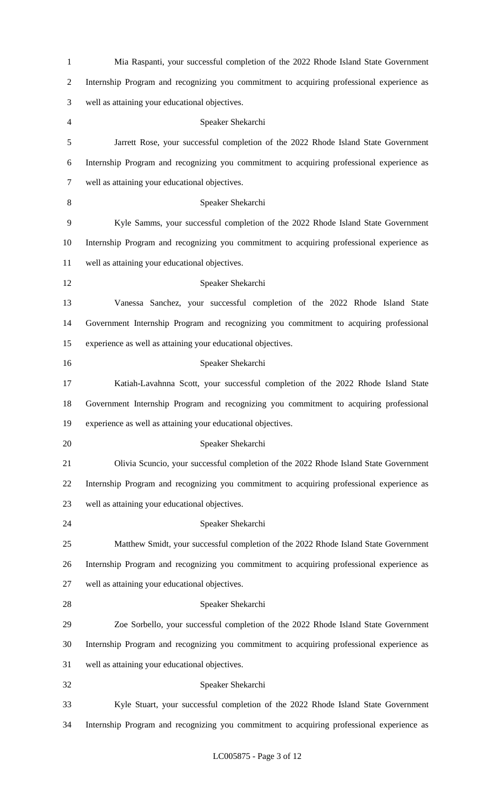| $\mathbf{1}$   | Mia Raspanti, your successful completion of the 2022 Rhode Island State Government        |
|----------------|-------------------------------------------------------------------------------------------|
| $\overline{2}$ | Internship Program and recognizing you commitment to acquiring professional experience as |
| 3              | well as attaining your educational objectives.                                            |
| $\overline{4}$ | Speaker Shekarchi                                                                         |
| 5              | Jarrett Rose, your successful completion of the 2022 Rhode Island State Government        |
| 6              | Internship Program and recognizing you commitment to acquiring professional experience as |
| $\tau$         | well as attaining your educational objectives.                                            |
| 8              | Speaker Shekarchi                                                                         |
| 9              | Kyle Samms, your successful completion of the 2022 Rhode Island State Government          |
| 10             | Internship Program and recognizing you commitment to acquiring professional experience as |
| 11             | well as attaining your educational objectives.                                            |
| 12             | Speaker Shekarchi                                                                         |
| 13             | Vanessa Sanchez, your successful completion of the 2022 Rhode Island State                |
| 14             | Government Internship Program and recognizing you commitment to acquiring professional    |
| 15             | experience as well as attaining your educational objectives.                              |
| 16             | Speaker Shekarchi                                                                         |
| 17             | Katiah-Lavahnna Scott, your successful completion of the 2022 Rhode Island State          |
| 18             | Government Internship Program and recognizing you commitment to acquiring professional    |
| 19             | experience as well as attaining your educational objectives.                              |
| 20             | Speaker Shekarchi                                                                         |
| 21             | Olivia Scuncio, your successful completion of the 2022 Rhode Island State Government      |
| 22             | Internship Program and recognizing you commitment to acquiring professional experience as |
| 23             | well as attaining your educational objectives.                                            |
| 24             | Speaker Shekarchi                                                                         |
| 25             | Matthew Smidt, your successful completion of the 2022 Rhode Island State Government       |
| 26             | Internship Program and recognizing you commitment to acquiring professional experience as |
| 27             | well as attaining your educational objectives.                                            |
| 28             | Speaker Shekarchi                                                                         |
| 29             | Zoe Sorbello, your successful completion of the 2022 Rhode Island State Government        |
| 30             | Internship Program and recognizing you commitment to acquiring professional experience as |
| 31             | well as attaining your educational objectives.                                            |
| 32             | Speaker Shekarchi                                                                         |
| 33             | Kyle Stuart, your successful completion of the 2022 Rhode Island State Government         |
| 34             | Internship Program and recognizing you commitment to acquiring professional experience as |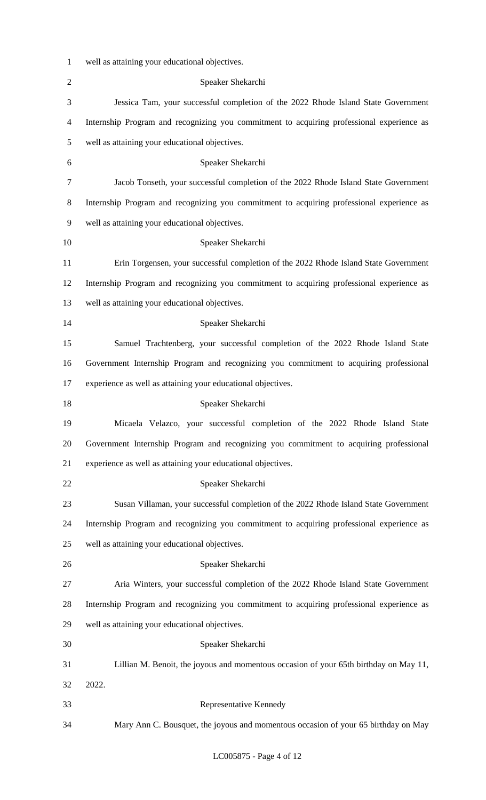| $\mathbf{1}$   | well as attaining your educational objectives.                                            |
|----------------|-------------------------------------------------------------------------------------------|
| $\overline{2}$ | Speaker Shekarchi                                                                         |
| 3              | Jessica Tam, your successful completion of the 2022 Rhode Island State Government         |
| 4              | Internship Program and recognizing you commitment to acquiring professional experience as |
| 5              | well as attaining your educational objectives.                                            |
| 6              | Speaker Shekarchi                                                                         |
| 7              | Jacob Tonseth, your successful completion of the 2022 Rhode Island State Government       |
| 8              | Internship Program and recognizing you commitment to acquiring professional experience as |
| 9              | well as attaining your educational objectives.                                            |
| 10             | Speaker Shekarchi                                                                         |
| 11             | Erin Torgensen, your successful completion of the 2022 Rhode Island State Government      |
| 12             | Internship Program and recognizing you commitment to acquiring professional experience as |
| 13             | well as attaining your educational objectives.                                            |
| 14             | Speaker Shekarchi                                                                         |
| 15             | Samuel Trachtenberg, your successful completion of the 2022 Rhode Island State            |
| 16             | Government Internship Program and recognizing you commitment to acquiring professional    |
| 17             | experience as well as attaining your educational objectives.                              |
| 18             | Speaker Shekarchi                                                                         |
| 19             | Micaela Velazco, your successful completion of the 2022 Rhode Island State                |
| 20             | Government Internship Program and recognizing you commitment to acquiring professional    |
| 21             | experience as well as attaining your educational objectives.                              |
| 22             | Speaker Shekarchi                                                                         |
| 23             | Susan Villaman, your successful completion of the 2022 Rhode Island State Government      |
| 24             | Internship Program and recognizing you commitment to acquiring professional experience as |
| 25             | well as attaining your educational objectives.                                            |
| 26             | Speaker Shekarchi                                                                         |
| 27             | Aria Winters, your successful completion of the 2022 Rhode Island State Government        |
| 28             | Internship Program and recognizing you commitment to acquiring professional experience as |
| 29             | well as attaining your educational objectives.                                            |
| 30             | Speaker Shekarchi                                                                         |
| 31             | Lillian M. Benoit, the joyous and momentous occasion of your 65th birthday on May 11,     |
| 32             | 2022.                                                                                     |
| 33             | Representative Kennedy                                                                    |
| 34             | Mary Ann C. Bousquet, the joyous and momentous occasion of your 65 birthday on May        |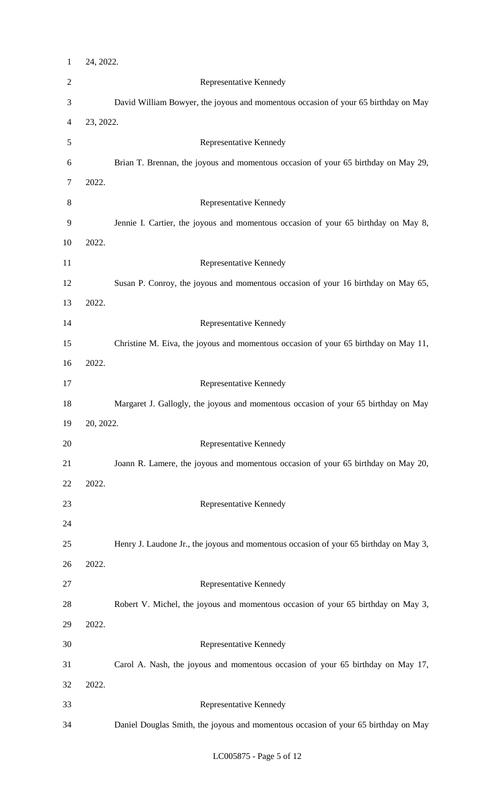| $\mathbf{1}$             | 24, 2022. |                                                                                       |
|--------------------------|-----------|---------------------------------------------------------------------------------------|
| $\sqrt{2}$               |           | Representative Kennedy                                                                |
| $\mathfrak{Z}$           |           | David William Bowyer, the joyous and momentous occasion of your 65 birthday on May    |
| $\overline{\mathcal{A}}$ | 23, 2022. |                                                                                       |
| 5                        |           | Representative Kennedy                                                                |
| 6                        |           | Brian T. Brennan, the joyous and momentous occasion of your 65 birthday on May 29,    |
| $\boldsymbol{7}$         | 2022.     |                                                                                       |
| $8\,$                    |           | Representative Kennedy                                                                |
| 9                        |           | Jennie I. Cartier, the joyous and momentous occasion of your 65 birthday on May 8,    |
| 10                       | 2022.     |                                                                                       |
| 11                       |           | Representative Kennedy                                                                |
| 12                       |           | Susan P. Conroy, the joyous and momentous occasion of your 16 birthday on May 65,     |
| 13                       | 2022.     |                                                                                       |
| 14                       |           | Representative Kennedy                                                                |
| 15                       |           | Christine M. Eiva, the joyous and momentous occasion of your 65 birthday on May 11,   |
| 16                       | 2022.     |                                                                                       |
| 17                       |           | Representative Kennedy                                                                |
| 18                       |           | Margaret J. Gallogly, the joyous and momentous occasion of your 65 birthday on May    |
| 19                       | 20, 2022. |                                                                                       |
| 20                       |           | Representative Kennedy                                                                |
| 21                       |           | Joann R. Lamere, the joyous and momentous occasion of your 65 birthday on May 20,     |
| 22                       | 2022.     |                                                                                       |
| 23                       |           | Representative Kennedy                                                                |
| 24                       |           |                                                                                       |
| 25                       |           | Henry J. Laudone Jr., the joyous and momentous occasion of your 65 birthday on May 3, |
| 26                       | 2022.     |                                                                                       |
| 27                       |           | Representative Kennedy                                                                |
| 28                       |           | Robert V. Michel, the joyous and momentous occasion of your 65 birthday on May 3,     |
| 29                       | 2022.     |                                                                                       |
| 30                       |           | Representative Kennedy                                                                |
| 31                       |           | Carol A. Nash, the joyous and momentous occasion of your 65 birthday on May 17,       |
| 32                       | 2022.     |                                                                                       |
| 33                       |           | Representative Kennedy                                                                |
| 34                       |           | Daniel Douglas Smith, the joyous and momentous occasion of your 65 birthday on May    |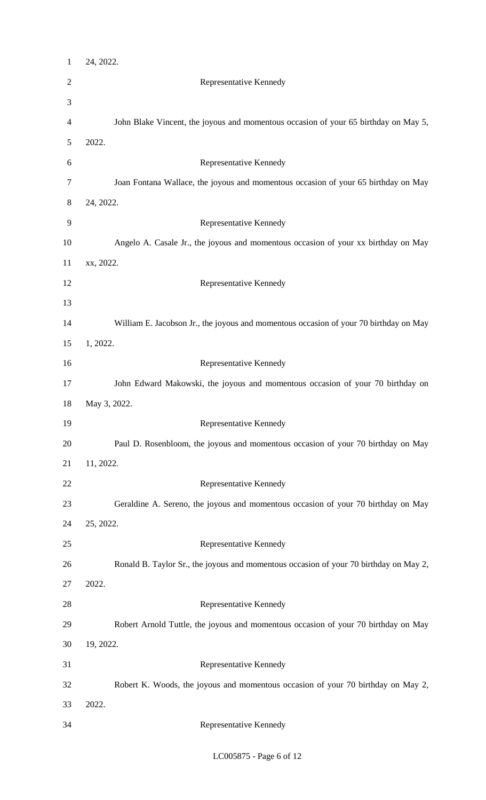| $\mathbf{1}$ | 24, 2022.                                                                             |
|--------------|---------------------------------------------------------------------------------------|
| 2            | Representative Kennedy                                                                |
| 3            |                                                                                       |
| 4            | John Blake Vincent, the joyous and momentous occasion of your 65 birthday on May 5,   |
| 5            | 2022.                                                                                 |
| 6            | Representative Kennedy                                                                |
| 7            | Joan Fontana Wallace, the joyous and momentous occasion of your 65 birthday on May    |
| 8            | 24, 2022.                                                                             |
| 9            | Representative Kennedy                                                                |
| 10           | Angelo A. Casale Jr., the joyous and momentous occasion of your xx birthday on May    |
| 11           | xx, 2022.                                                                             |
| 12           | Representative Kennedy                                                                |
| 13           |                                                                                       |
| 14           | William E. Jacobson Jr., the joyous and momentous occasion of your 70 birthday on May |
| 15           | 1, 2022.                                                                              |
| 16           | Representative Kennedy                                                                |
| 17           | John Edward Makowski, the joyous and momentous occasion of your 70 birthday on        |
| 18           | May 3, 2022.                                                                          |
| 19           | Representative Kennedy                                                                |
| 20           | Paul D. Rosenbloom, the joyous and momentous occasion of your 70 birthday on May      |
| 21           | 11, 2022.                                                                             |
| 22           | Representative Kennedy                                                                |
| 23           | Geraldine A. Sereno, the joyous and momentous occasion of your 70 birthday on May     |
| 24           | 25, 2022.                                                                             |
| 25           | Representative Kennedy                                                                |
| 26           | Ronald B. Taylor Sr., the joyous and momentous occasion of your 70 birthday on May 2, |
| 27           | 2022.                                                                                 |
| 28           | Representative Kennedy                                                                |
| 29           | Robert Arnold Tuttle, the joyous and momentous occasion of your 70 birthday on May    |
| 30           | 19, 2022.                                                                             |
| 31           | Representative Kennedy                                                                |
| 32           | Robert K. Woods, the joyous and momentous occasion of your 70 birthday on May 2,      |
| 33           | 2022.                                                                                 |
| 34           | Representative Kennedy                                                                |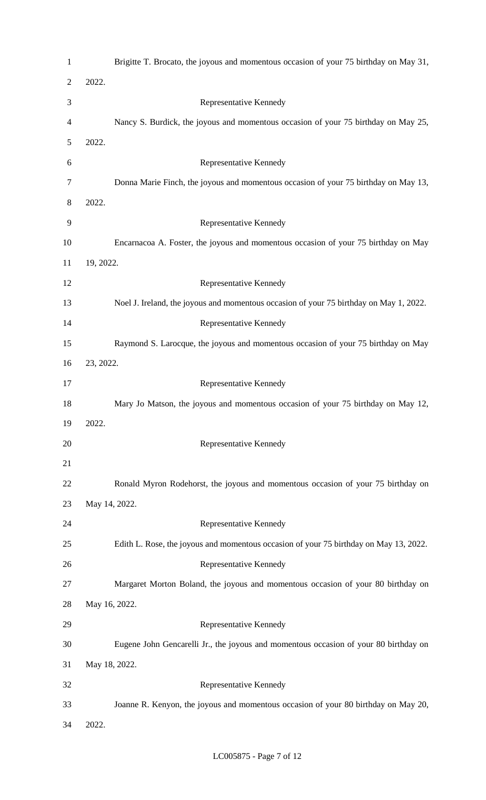| $\mathbf{1}$   | Brigitte T. Brocato, the joyous and momentous occasion of your 75 birthday on May 31,  |
|----------------|----------------------------------------------------------------------------------------|
| $\overline{2}$ | 2022.                                                                                  |
| 3              | Representative Kennedy                                                                 |
| 4              | Nancy S. Burdick, the joyous and momentous occasion of your 75 birthday on May 25,     |
| 5              | 2022.                                                                                  |
| 6              | Representative Kennedy                                                                 |
| 7              | Donna Marie Finch, the joyous and momentous occasion of your 75 birthday on May 13,    |
| 8              | 2022.                                                                                  |
| 9              | Representative Kennedy                                                                 |
| 10             | Encarnacoa A. Foster, the joyous and momentous occasion of your 75 birthday on May     |
| 11             | 19, 2022.                                                                              |
| 12             | Representative Kennedy                                                                 |
| 13             | Noel J. Ireland, the joyous and momentous occasion of your 75 birthday on May 1, 2022. |
| 14             | Representative Kennedy                                                                 |
| 15             | Raymond S. Larocque, the joyous and momentous occasion of your 75 birthday on May      |
| 16             | 23, 2022.                                                                              |
| 17             | Representative Kennedy                                                                 |
| 18             | Mary Jo Matson, the joyous and momentous occasion of your 75 birthday on May 12,       |
| 19             | 2022.                                                                                  |
| 20             | Representative Kennedy                                                                 |
| 21             |                                                                                        |
| 22             | Ronald Myron Rodehorst, the joyous and momentous occasion of your 75 birthday on       |
| 23             | May 14, 2022.                                                                          |
| 24             | Representative Kennedy                                                                 |
| 25             | Edith L. Rose, the joyous and momentous occasion of your 75 birthday on May 13, 2022.  |
| 26             | Representative Kennedy                                                                 |
| 27             | Margaret Morton Boland, the joyous and momentous occasion of your 80 birthday on       |
| 28             | May 16, 2022.                                                                          |
| 29             | Representative Kennedy                                                                 |
| 30             | Eugene John Gencarelli Jr., the joyous and momentous occasion of your 80 birthday on   |
| 31             | May 18, 2022.                                                                          |
| 32             | Representative Kennedy                                                                 |
| 33             | Joanne R. Kenyon, the joyous and momentous occasion of your 80 birthday on May 20,     |
| 34             | 2022.                                                                                  |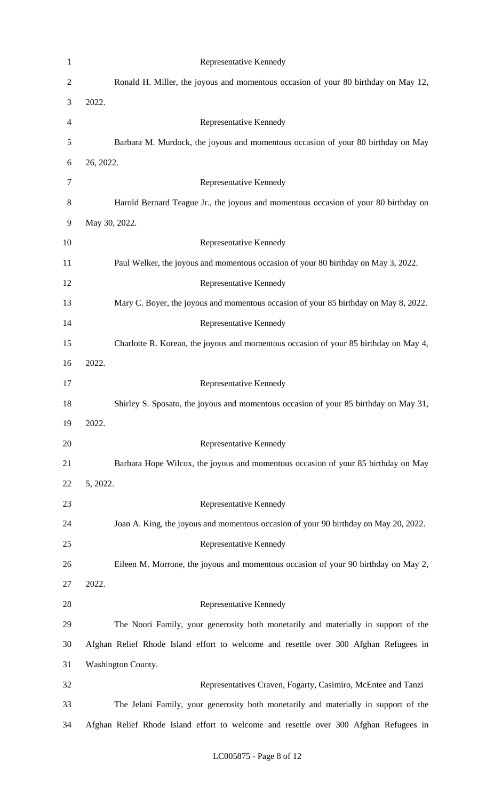| $\mathbf{1}$   | Representative Kennedy                                                                |
|----------------|---------------------------------------------------------------------------------------|
| $\overline{c}$ | Ronald H. Miller, the joyous and momentous occasion of your 80 birthday on May 12,    |
| 3              | 2022.                                                                                 |
| 4              | Representative Kennedy                                                                |
| 5              | Barbara M. Murdock, the joyous and momentous occasion of your 80 birthday on May      |
| 6              | 26, 2022.                                                                             |
| 7              | Representative Kennedy                                                                |
| 8              | Harold Bernard Teague Jr., the joyous and momentous occasion of your 80 birthday on   |
| 9              | May 30, 2022.                                                                         |
| 10             | Representative Kennedy                                                                |
| 11             | Paul Welker, the joyous and momentous occasion of your 80 birthday on May 3, 2022.    |
| 12             | Representative Kennedy                                                                |
| 13             | Mary C. Boyer, the joyous and momentous occasion of your 85 birthday on May 8, 2022.  |
| 14             | Representative Kennedy                                                                |
| 15             | Charlotte R. Korean, the joyous and momentous occasion of your 85 birthday on May 4,  |
| 16             | 2022.                                                                                 |
| 17             | Representative Kennedy                                                                |
| 18             | Shirley S. Sposato, the joyous and momentous occasion of your 85 birthday on May 31,  |
| 19             | 2022.                                                                                 |
| 20             | Representative Kennedy                                                                |
| 21             | Barbara Hope Wilcox, the joyous and momentous occasion of your 85 birthday on May     |
| 22             | 5, 2022.                                                                              |
| 23             | Representative Kennedy                                                                |
| 24             | Joan A. King, the joyous and momentous occasion of your 90 birthday on May 20, 2022.  |
| 25             | Representative Kennedy                                                                |
| 26             | Eileen M. Morrone, the joyous and momentous occasion of your 90 birthday on May 2,    |
| 27             | 2022.                                                                                 |
| 28             | Representative Kennedy                                                                |
| 29             | The Noori Family, your generosity both monetarily and materially in support of the    |
| 30             | Afghan Relief Rhode Island effort to welcome and resettle over 300 Afghan Refugees in |
| 31             | Washington County.                                                                    |
| 32             | Representatives Craven, Fogarty, Casimiro, McEntee and Tanzi                          |
| 33             | The Jelani Family, your generosity both monetarily and materially in support of the   |
| 34             | Afghan Relief Rhode Island effort to welcome and resettle over 300 Afghan Refugees in |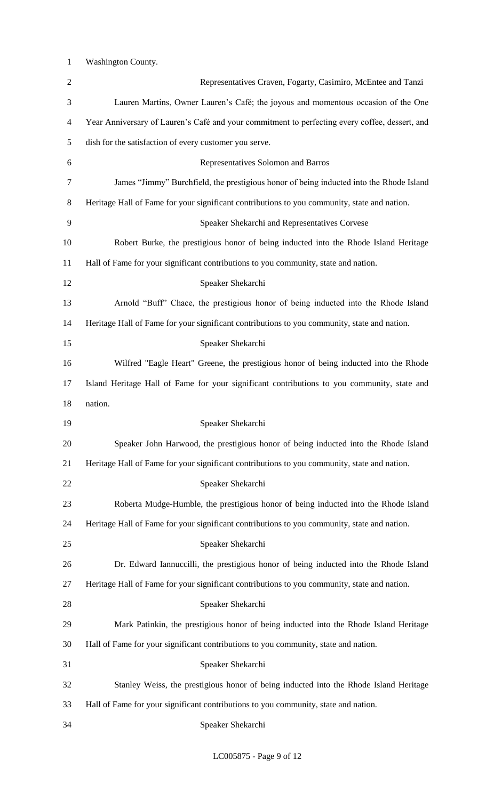Washington County.

| $\overline{c}$ | Representatives Craven, Fogarty, Casimiro, McEntee and Tanzi                                   |
|----------------|------------------------------------------------------------------------------------------------|
| 3              | Lauren Martins, Owner Lauren's Café; the joyous and momentous occasion of the One              |
| 4              | Year Anniversary of Lauren's Café and your commitment to perfecting every coffee, dessert, and |
| 5              | dish for the satisfaction of every customer you serve.                                         |
| 6              | Representatives Solomon and Barros                                                             |
| 7              | James "Jimmy" Burchfield, the prestigious honor of being inducted into the Rhode Island        |
| 8              | Heritage Hall of Fame for your significant contributions to you community, state and nation.   |
| 9              | Speaker Shekarchi and Representatives Corvese                                                  |
| 10             | Robert Burke, the prestigious honor of being inducted into the Rhode Island Heritage           |
| 11             | Hall of Fame for your significant contributions to you community, state and nation.            |
| 12             | Speaker Shekarchi                                                                              |
| 13             | Arnold "Buff" Chace, the prestigious honor of being inducted into the Rhode Island             |
| 14             | Heritage Hall of Fame for your significant contributions to you community, state and nation.   |
| 15             | Speaker Shekarchi                                                                              |
| 16             | Wilfred "Eagle Heart" Greene, the prestigious honor of being inducted into the Rhode           |
| 17             | Island Heritage Hall of Fame for your significant contributions to you community, state and    |
| 18             | nation.                                                                                        |
| 19             | Speaker Shekarchi                                                                              |
| 20             | Speaker John Harwood, the prestigious honor of being inducted into the Rhode Island            |
| 21             | Heritage Hall of Fame for your significant contributions to you community, state and nation.   |
| 22             | Speaker Shekarchi                                                                              |
| 23             | Roberta Mudge-Humble, the prestigious honor of being inducted into the Rhode Island            |
| 24             | Heritage Hall of Fame for your significant contributions to you community, state and nation.   |
| 25             | Speaker Shekarchi                                                                              |
| 26             | Dr. Edward Iannuccilli, the prestigious honor of being inducted into the Rhode Island          |
| 27             | Heritage Hall of Fame for your significant contributions to you community, state and nation.   |
| 28             | Speaker Shekarchi                                                                              |
| 29             | Mark Patinkin, the prestigious honor of being inducted into the Rhode Island Heritage          |
| 30             | Hall of Fame for your significant contributions to you community, state and nation.            |
| 31             | Speaker Shekarchi                                                                              |
| 32             | Stanley Weiss, the prestigious honor of being inducted into the Rhode Island Heritage          |
| 33             | Hall of Fame for your significant contributions to you community, state and nation.            |
|                |                                                                                                |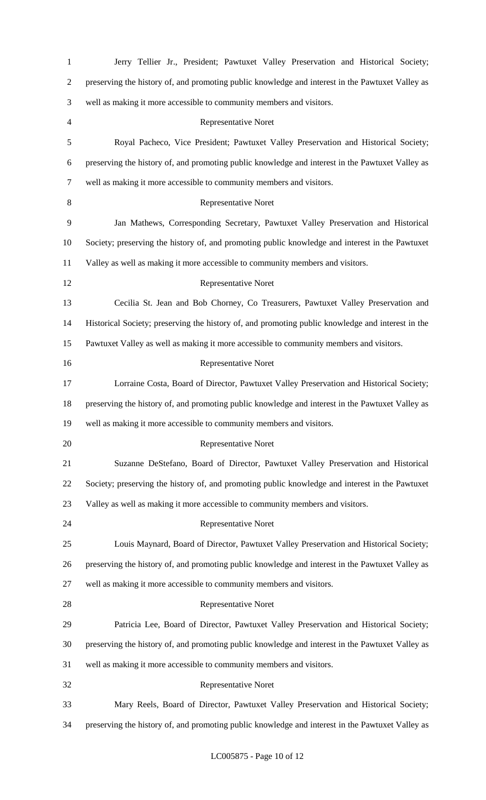| $\mathbf{1}$   | Jerry Tellier Jr., President; Pawtuxet Valley Preservation and Historical Society;                |
|----------------|---------------------------------------------------------------------------------------------------|
| $\overline{c}$ | preserving the history of, and promoting public knowledge and interest in the Pawtuxet Valley as  |
| 3              | well as making it more accessible to community members and visitors.                              |
| 4              | <b>Representative Noret</b>                                                                       |
| 5              | Royal Pacheco, Vice President; Pawtuxet Valley Preservation and Historical Society;               |
| 6              | preserving the history of, and promoting public knowledge and interest in the Pawtuxet Valley as  |
| 7              | well as making it more accessible to community members and visitors.                              |
| $8\,$          | <b>Representative Noret</b>                                                                       |
| 9              | Jan Mathews, Corresponding Secretary, Pawtuxet Valley Preservation and Historical                 |
| 10             | Society; preserving the history of, and promoting public knowledge and interest in the Pawtuxet   |
| 11             | Valley as well as making it more accessible to community members and visitors.                    |
| 12             | <b>Representative Noret</b>                                                                       |
| 13             | Cecilia St. Jean and Bob Chorney, Co Treasurers, Pawtuxet Valley Preservation and                 |
| 14             | Historical Society; preserving the history of, and promoting public knowledge and interest in the |
| 15             | Pawtuxet Valley as well as making it more accessible to community members and visitors.           |
| 16             | <b>Representative Noret</b>                                                                       |
| 17             | Lorraine Costa, Board of Director, Pawtuxet Valley Preservation and Historical Society;           |
| 18             | preserving the history of, and promoting public knowledge and interest in the Pawtuxet Valley as  |
| 19             | well as making it more accessible to community members and visitors.                              |
| 20             | Representative Noret                                                                              |
| 21             | Suzanne DeStefano, Board of Director, Pawtuxet Valley Preservation and Historical                 |
| 22             | Society; preserving the history of, and promoting public knowledge and interest in the Pawtuxet   |
| 23             | Valley as well as making it more accessible to community members and visitors.                    |
| 24             | <b>Representative Noret</b>                                                                       |
| 25             | Louis Maynard, Board of Director, Pawtuxet Valley Preservation and Historical Society;            |
| 26             | preserving the history of, and promoting public knowledge and interest in the Pawtuxet Valley as  |
| 27             | well as making it more accessible to community members and visitors.                              |
| 28             | Representative Noret                                                                              |
| 29             | Patricia Lee, Board of Director, Pawtuxet Valley Preservation and Historical Society;             |
| 30             | preserving the history of, and promoting public knowledge and interest in the Pawtuxet Valley as  |
| 31             | well as making it more accessible to community members and visitors.                              |
| 32             | <b>Representative Noret</b>                                                                       |
| 33             | Mary Reels, Board of Director, Pawtuxet Valley Preservation and Historical Society;               |
| 34             | preserving the history of, and promoting public knowledge and interest in the Pawtuxet Valley as  |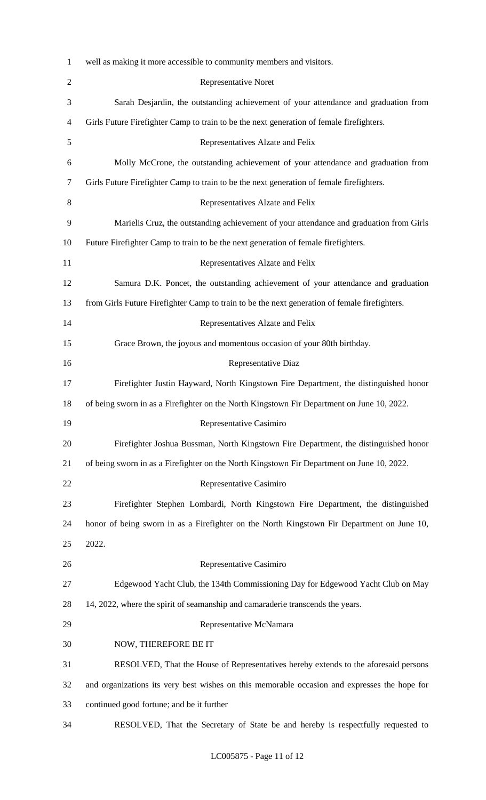| $\mathbf{1}$   | well as making it more accessible to community members and visitors.                          |
|----------------|-----------------------------------------------------------------------------------------------|
| $\overline{2}$ | Representative Noret                                                                          |
| 3              | Sarah Desjardin, the outstanding achievement of your attendance and graduation from           |
| $\overline{4}$ | Girls Future Firefighter Camp to train to be the next generation of female firefighters.      |
| 5              | Representatives Alzate and Felix                                                              |
| 6              | Molly McCrone, the outstanding achievement of your attendance and graduation from             |
| 7              | Girls Future Firefighter Camp to train to be the next generation of female firefighters.      |
| 8              | Representatives Alzate and Felix                                                              |
| 9              | Marielis Cruz, the outstanding achievement of your attendance and graduation from Girls       |
| 10             | Future Firefighter Camp to train to be the next generation of female firefighters.            |
| 11             | Representatives Alzate and Felix                                                              |
| 12             | Samura D.K. Poncet, the outstanding achievement of your attendance and graduation             |
| 13             | from Girls Future Firefighter Camp to train to be the next generation of female firefighters. |
| 14             | Representatives Alzate and Felix                                                              |
| 15             | Grace Brown, the joyous and momentous occasion of your 80th birthday.                         |
| 16             | Representative Diaz                                                                           |
| 17             | Firefighter Justin Hayward, North Kingstown Fire Department, the distinguished honor          |
| 18             | of being sworn in as a Firefighter on the North Kingstown Fir Department on June 10, 2022.    |
| 19             | Representative Casimiro                                                                       |
| 20             | Firefighter Joshua Bussman, North Kingstown Fire Department, the distinguished honor          |
| 21             | of being sworn in as a Firefighter on the North Kingstown Fir Department on June 10, 2022.    |
| 22             | Representative Casimiro                                                                       |
| 23             | Firefighter Stephen Lombardi, North Kingstown Fire Department, the distinguished              |
| 24             | honor of being sworn in as a Firefighter on the North Kingstown Fir Department on June 10,    |
| 25             | 2022.                                                                                         |
| 26             | Representative Casimiro                                                                       |
| 27             | Edgewood Yacht Club, the 134th Commissioning Day for Edgewood Yacht Club on May               |
| 28             | 14, 2022, where the spirit of seamanship and camaraderie transcends the years.                |
| 29             | Representative McNamara                                                                       |
| 30             | NOW, THEREFORE BE IT                                                                          |
| 31             | RESOLVED, That the House of Representatives hereby extends to the aforesaid persons           |
| 32             | and organizations its very best wishes on this memorable occasion and expresses the hope for  |
| 33             | continued good fortune; and be it further                                                     |
| 34             | RESOLVED, That the Secretary of State be and hereby is respectfully requested to              |
|                |                                                                                               |